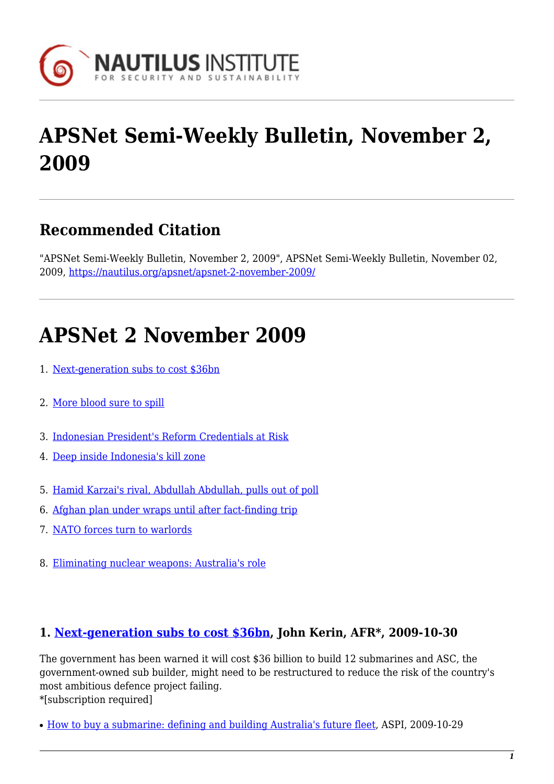

# **APSNet Semi-Weekly Bulletin, November 2, 2009**

### **Recommended Citation**

"APSNet Semi-Weekly Bulletin, November 2, 2009", APSNet Semi-Weekly Bulletin, November 02, 2009, <https://nautilus.org/apsnet/apsnet-2-november-2009/>

## **APSNet 2 November 2009**

- 1. [Next-generation subs to cost \\$36bn](#page-0-0)
- 2. [More blood sure to spill](#page-1-0)
- 3. [Indonesian President's Reform Credentials at Risk](#page--1-0)
- 4. [Deep inside Indonesia's kill zone](#page-1-1)
- 5. [Hamid Karzai's rival, Abdullah Abdullah, pulls out of poll](#page-1-2)
- 6. [Afghan plan under wraps until after fact-finding trip](#page-1-2)
- 7. [NATO forces turn to warlords](#page-1-3)
- 8. [Eliminating nuclear weapons: Australia's role](#page-2-0)

#### <span id="page-0-0"></span>**1. [Next-generation subs to cost \\$36bn](http://www2.afr.com/home/login.aspx?EDP://20091030000031715442§ion=industry-capital_goods), John Kerin, AFR\*, 2009-10-30**

The government has been warned it will cost \$36 billion to build 12 submarines and ASC, the government-owned sub builder, might need to be restructured to reduce the risk of the country's most ambitious defence project failing. \*[subscription required]

• [How to buy a submarine: defining and building Australia's future fleet,](http://www2.afr.com/home/login.aspx?EDP://20091030000031715442§ion=industry-capital_goods) ASPI, 2009-10-29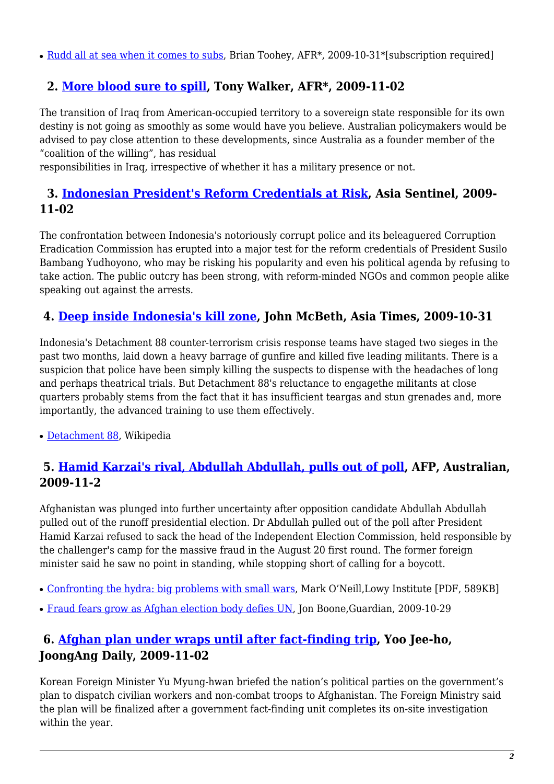• [Rudd all at sea when it comes to subs](http://www2.afr.com/home/login.aspx?EDP://20091031000031718614§ion=industry-capital_goods), Brian Toohey, AFR\*, 2009-10-31\*[subscription required]

#### <span id="page-1-0"></span> **2. [More blood sure to spill](http://www2.afr.com/home/login.aspx?EDP://20091102000031725495§ion=industry-capital_goods), Tony Walker, AFR\*, 2009-11-02**

The transition of Iraq from American-occupied territory to a sovereign state responsible for its own destiny is not going as smoothly as some would have you believe. Australian policymakers would be advised to pay close attention to these developments, since Australia as a founder member of the "coalition of the willing", has residual

responsibilities in Iraq, irrespective of whether it has a military presence or not.

#### **3. [Indonesian President's Reform Credentials at Risk,](http://www.asiasentinel.com/index.php?option=com_content&task=view&id=2125&Itemid=175) Asia Sentinel, 2009- 11-02**

The confrontation between Indonesia's notoriously corrupt police and its beleaguered Corruption Eradication Commission has erupted into a major test for the reform credentials of President Susilo Bambang Yudhoyono, who may be risking his popularity and even his political agenda by refusing to take action. The public outcry has been strong, with reform-minded NGOs and common people alike speaking out against the arrests.

#### <span id="page-1-1"></span>**4. [Deep inside Indonesia's kill zone](http://www.atimes.com/atimes/Southeast_Asia/KJ31Ae01.html), John McBeth, Asia Times, 2009-10-31**

Indonesia's Detachment 88 counter-terrorism crisis response teams have staged two sieges in the past two months, laid down a heavy barrage of gunfire and killed five leading militants. There is a suspicion that police have been simply killing the suspects to dispense with the headaches of long and perhaps theatrical trials. But Detachment 88's reluctance to engagethe militants at close quarters probably stems from the fact that it has insufficient teargas and stun grenades and, more importantly, the advanced training to use them effectively.

• [Detachment 88,](http://en.wikipedia.org/wiki/Detachment_88) Wikipedia

#### **5. [Hamid Karzai's rival, Abdullah Abdullah, pulls out of poll,](http://www.theaustralian.news.com.au/story/0,25197,26291549-601,00.html) AFP, Australian, 2009-11-2**

Afghanistan was plunged into further uncertainty after opposition candidate Abdullah Abdullah pulled out of the runoff presidential election. Dr Abdullah pulled out of the poll after President Hamid Karzai refused to sack the head of the Independent Election Commission, held responsible by the challenger's camp for the massive fraud in the August 20 first round. The former foreign minister said he saw no point in standing, while stopping short of calling for a boycott.

- [Confronting the hydra: big problems with small wars](http://www.lowyinstitute.org/Publication.asp?pid=1159), Mark O'Neill, Lowy Institute [PDF, 589KB]
- [Fraud fears grow as Afghan election body defies UN,](http://www.guardian.co.uk/world/2009/oct/29/afghan-election-body-defies-un) Jon Boone, Guardian, 2009-10-29

#### <span id="page-1-2"></span>**6. [Afghan plan under wraps until after fact-finding trip,](http://joongangdaily.joins.com/article/view.asp?aid=2911916) Yoo Jee-ho, JoongAng Daily, 2009-11-02**

<span id="page-1-3"></span>Korean Foreign Minister Yu Myung-hwan briefed the nation's political parties on the government's plan to dispatch civilian workers and non-combat troops to Afghanistan. The Foreign Ministry said the plan will be finalized after a government fact-finding unit completes its on-site investigation within the year.